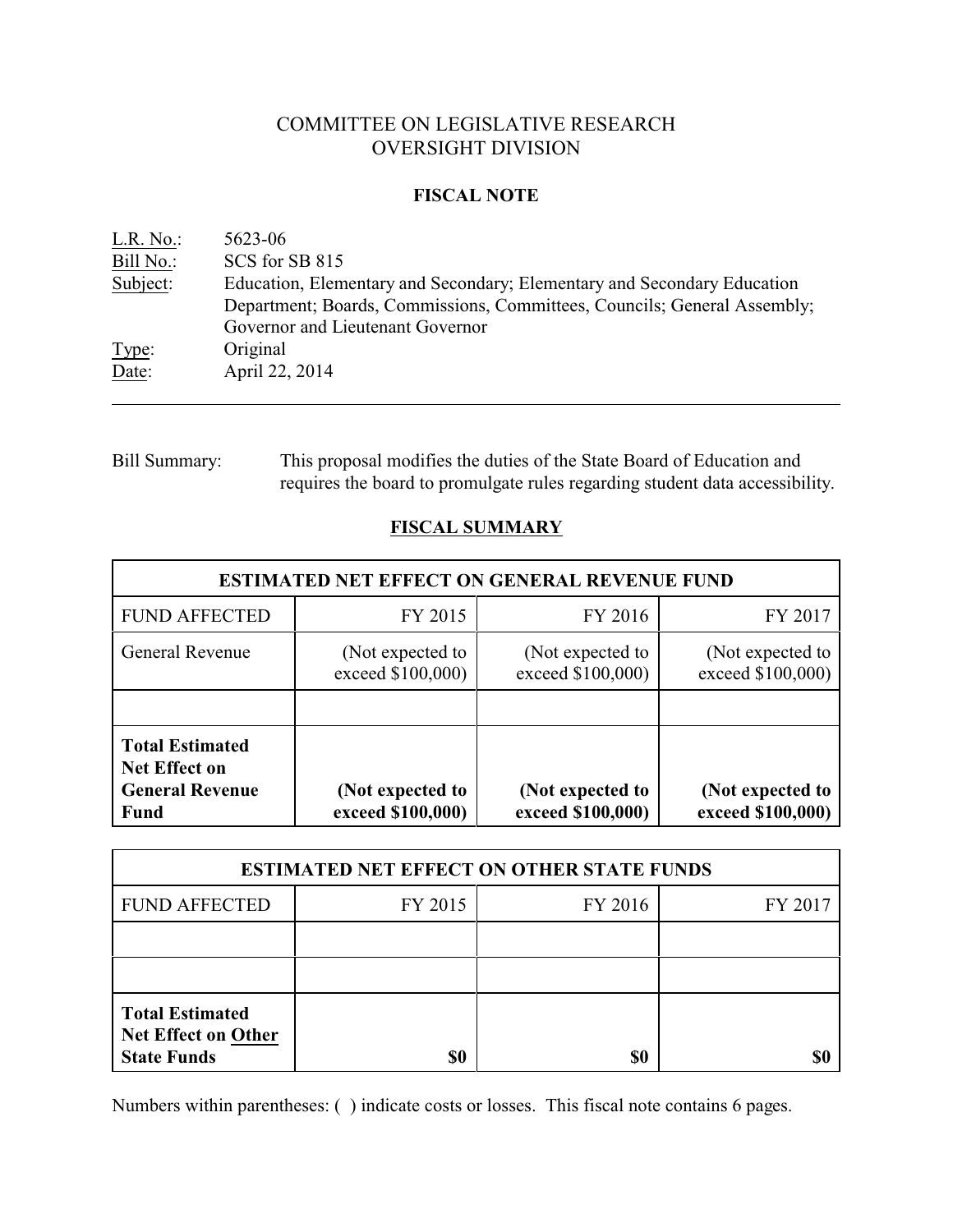# COMMITTEE ON LEGISLATIVE RESEARCH OVERSIGHT DIVISION

### **FISCAL NOTE**

| L.R. No.  | 5623-06                                                                  |
|-----------|--------------------------------------------------------------------------|
| Bill No.: | SCS for SB 815                                                           |
| Subject:  | Education, Elementary and Secondary; Elementary and Secondary Education  |
|           | Department; Boards, Commissions, Committees, Councils; General Assembly; |
|           | Governor and Lieutenant Governor                                         |
| Type:     | Original                                                                 |
| Date:     | April 22, 2014                                                           |
|           |                                                                          |

## Bill Summary: This proposal modifies the duties of the State Board of Education and requires the board to promulgate rules regarding student data accessibility.

## **FISCAL SUMMARY**

| <b>ESTIMATED NET EFFECT ON GENERAL REVENUE FUND</b>                              |                                       |                                       |                                       |  |
|----------------------------------------------------------------------------------|---------------------------------------|---------------------------------------|---------------------------------------|--|
| <b>FUND AFFECTED</b>                                                             | FY 2015                               | FY 2016                               | FY 2017                               |  |
| General Revenue                                                                  | (Not expected to<br>exceed \$100,000) | (Not expected to<br>exceed \$100,000) | (Not expected to<br>exceed \$100,000) |  |
|                                                                                  |                                       |                                       |                                       |  |
| <b>Total Estimated</b><br><b>Net Effect on</b><br><b>General Revenue</b><br>Fund | (Not expected to<br>exceed \$100,000) | (Not expected to<br>exceed \$100,000) | (Not expected to<br>exceed \$100,000) |  |

| <b>ESTIMATED NET EFFECT ON OTHER STATE FUNDS</b>                           |         |         |         |  |
|----------------------------------------------------------------------------|---------|---------|---------|--|
| <b>FUND AFFECTED</b>                                                       | FY 2015 | FY 2016 | FY 2017 |  |
|                                                                            |         |         |         |  |
|                                                                            |         |         |         |  |
| <b>Total Estimated</b><br><b>Net Effect on Other</b><br><b>State Funds</b> |         | \$0     |         |  |

Numbers within parentheses: ( ) indicate costs or losses. This fiscal note contains 6 pages.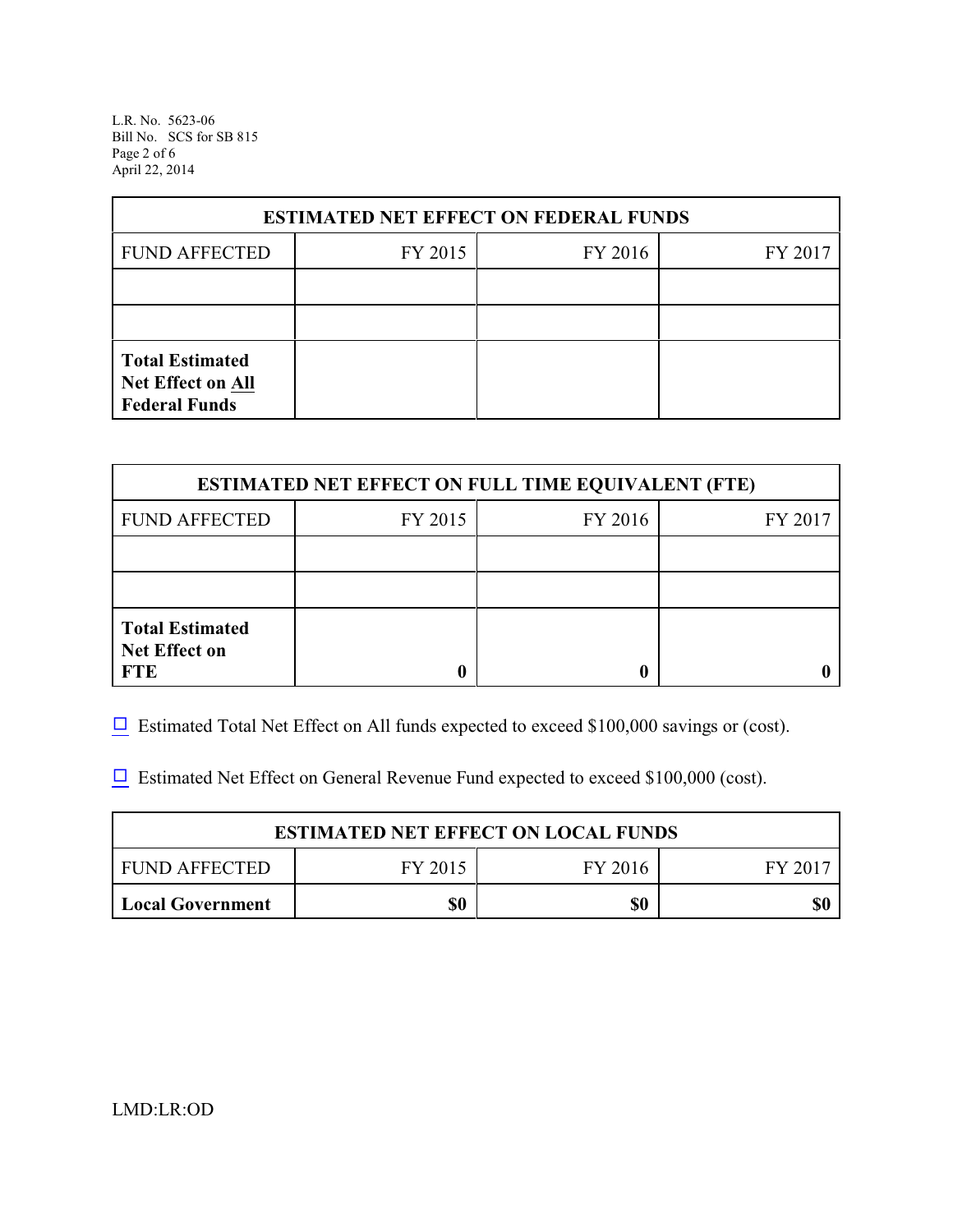L.R. No. 5623-06 Bill No. SCS for SB 815 Page 2 of 6 April 22, 2014

| <b>ESTIMATED NET EFFECT ON FEDERAL FUNDS</b>                               |         |         |         |  |  |
|----------------------------------------------------------------------------|---------|---------|---------|--|--|
| <b>FUND AFFECTED</b>                                                       | FY 2015 | FY 2016 | FY 2017 |  |  |
|                                                                            |         |         |         |  |  |
|                                                                            |         |         |         |  |  |
| <b>Total Estimated</b><br><b>Net Effect on All</b><br><b>Federal Funds</b> |         |         |         |  |  |

| <b>ESTIMATED NET EFFECT ON FULL TIME EQUIVALENT (FTE)</b>    |         |         |         |  |
|--------------------------------------------------------------|---------|---------|---------|--|
| <b>FUND AFFECTED</b>                                         | FY 2015 | FY 2016 | FY 2017 |  |
|                                                              |         |         |         |  |
|                                                              |         |         |         |  |
| <b>Total Estimated</b><br><b>Net Effect on</b><br><b>FTE</b> |         |         |         |  |

 $\Box$  Estimated Total Net Effect on All funds expected to exceed \$100,000 savings or (cost).

 $\Box$  Estimated Net Effect on General Revenue Fund expected to exceed \$100,000 (cost).

| <b>ESTIMATED NET EFFECT ON LOCAL FUNDS</b> |         |         |         |
|--------------------------------------------|---------|---------|---------|
| FUND AFFECTED                              | FY 2015 | FY 2016 | FY 2017 |
| <b>Local Government</b>                    | \$0     | \$0     | \$0     |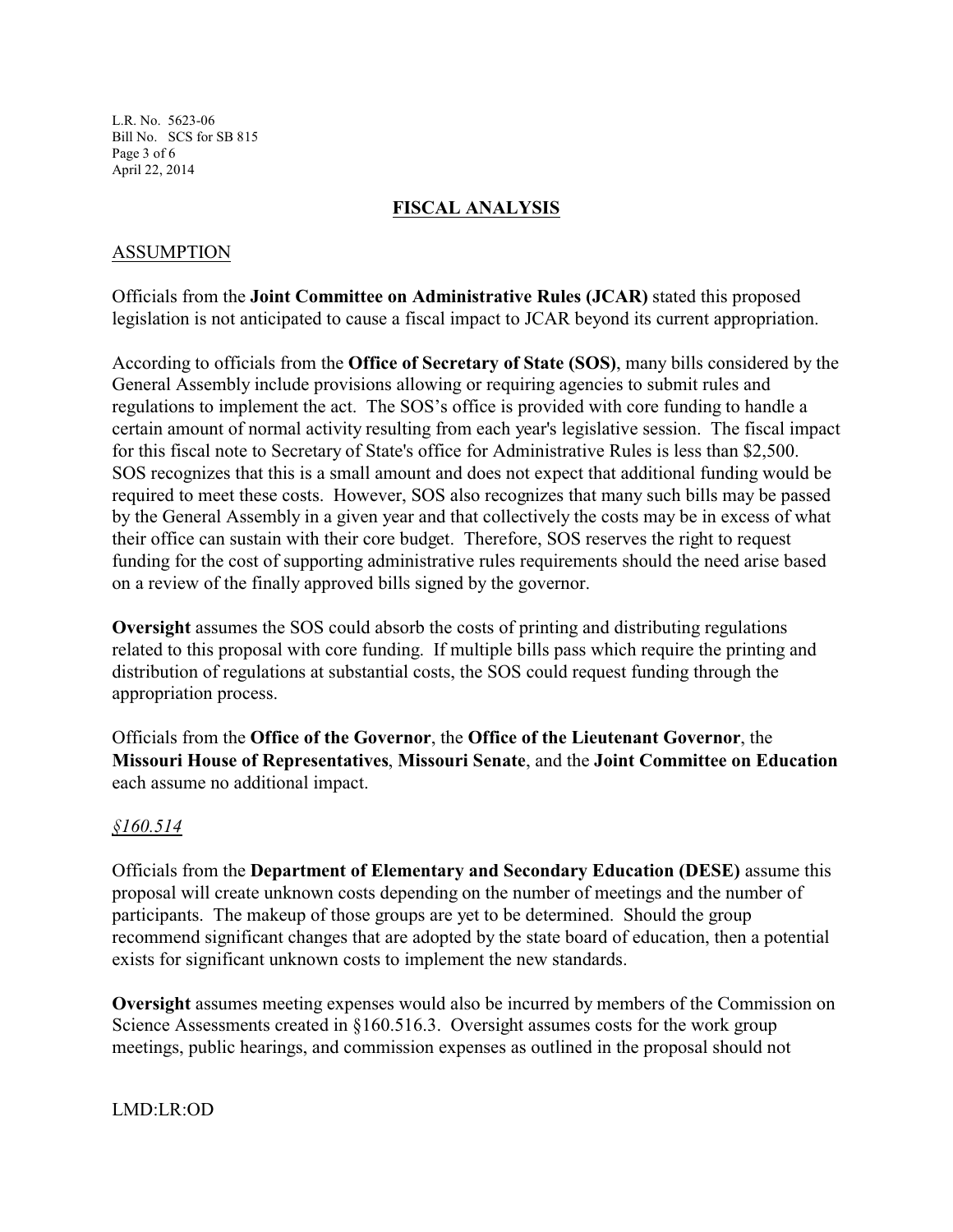L.R. No. 5623-06 Bill No. SCS for SB 815 Page 3 of 6 April 22, 2014

### **FISCAL ANALYSIS**

### ASSUMPTION

Officials from the **Joint Committee on Administrative Rules (JCAR)** stated this proposed legislation is not anticipated to cause a fiscal impact to JCAR beyond its current appropriation.

According to officials from the **Office of Secretary of State (SOS)**, many bills considered by the General Assembly include provisions allowing or requiring agencies to submit rules and regulations to implement the act. The SOS's office is provided with core funding to handle a certain amount of normal activity resulting from each year's legislative session. The fiscal impact for this fiscal note to Secretary of State's office for Administrative Rules is less than \$2,500. SOS recognizes that this is a small amount and does not expect that additional funding would be required to meet these costs. However, SOS also recognizes that many such bills may be passed by the General Assembly in a given year and that collectively the costs may be in excess of what their office can sustain with their core budget. Therefore, SOS reserves the right to request funding for the cost of supporting administrative rules requirements should the need arise based on a review of the finally approved bills signed by the governor.

**Oversight** assumes the SOS could absorb the costs of printing and distributing regulations related to this proposal with core funding. If multiple bills pass which require the printing and distribution of regulations at substantial costs, the SOS could request funding through the appropriation process.

Officials from the **Office of the Governor**, the **Office of the Lieutenant Governor**, the **Missouri House of Representatives**, **Missouri Senate**, and the **Joint Committee on Education** each assume no additional impact.

### *§160.514*

Officials from the **Department of Elementary and Secondary Education (DESE)** assume this proposal will create unknown costs depending on the number of meetings and the number of participants. The makeup of those groups are yet to be determined. Should the group recommend significant changes that are adopted by the state board of education, then a potential exists for significant unknown costs to implement the new standards.

**Oversight** assumes meeting expenses would also be incurred by members of the Commission on Science Assessments created in §160.516.3. Oversight assumes costs for the work group meetings, public hearings, and commission expenses as outlined in the proposal should not

LMD:LR:OD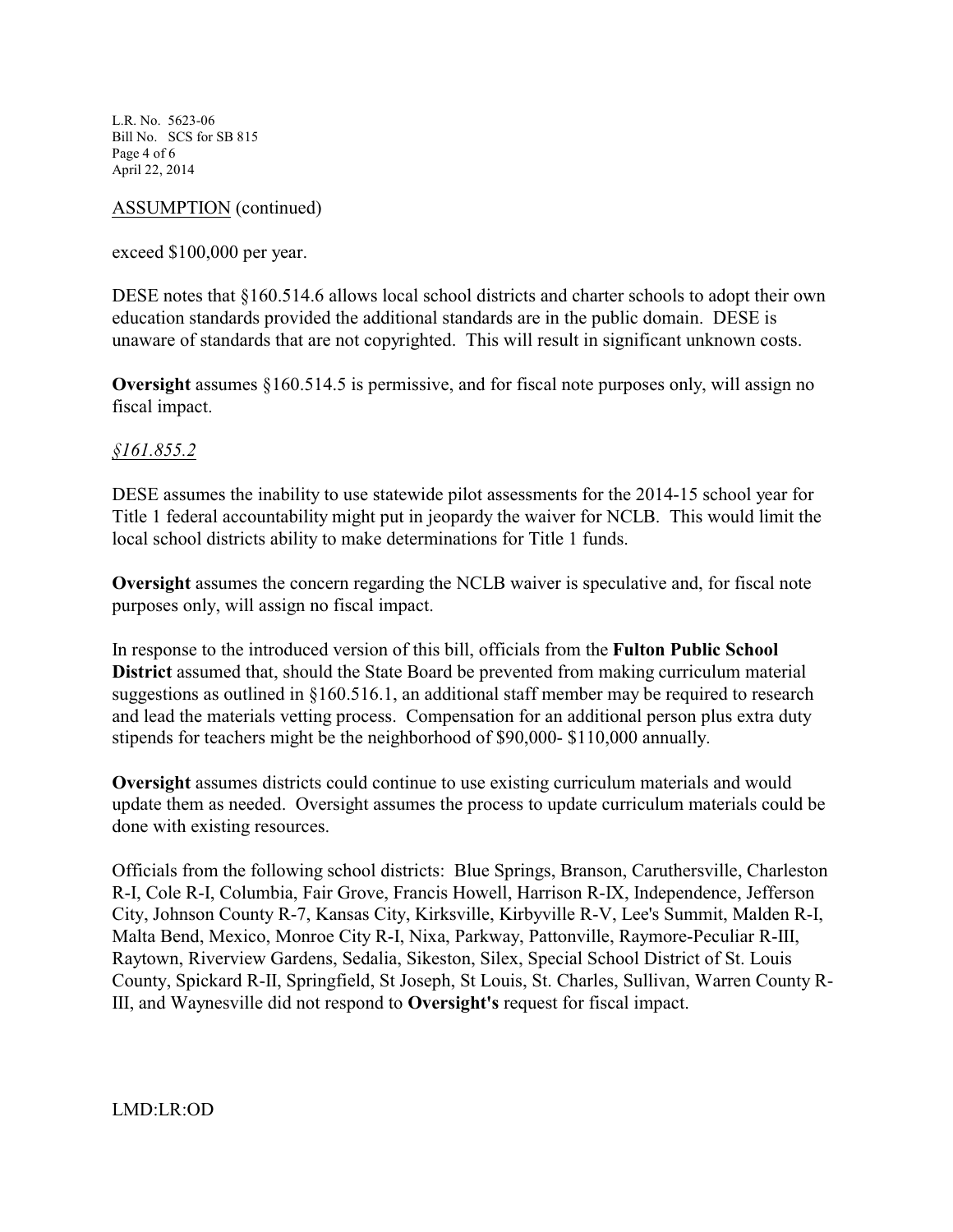L.R. No. 5623-06 Bill No. SCS for SB 815 Page 4 of 6 April 22, 2014

### ASSUMPTION (continued)

exceed \$100,000 per year.

DESE notes that §160.514.6 allows local school districts and charter schools to adopt their own education standards provided the additional standards are in the public domain. DESE is unaware of standards that are not copyrighted. This will result in significant unknown costs.

**Oversight** assumes §160.514.5 is permissive, and for fiscal note purposes only, will assign no fiscal impact.

## *§161.855.2*

DESE assumes the inability to use statewide pilot assessments for the 2014-15 school year for Title 1 federal accountability might put in jeopardy the waiver for NCLB. This would limit the local school districts ability to make determinations for Title 1 funds.

**Oversight** assumes the concern regarding the NCLB waiver is speculative and, for fiscal note purposes only, will assign no fiscal impact.

In response to the introduced version of this bill, officials from the **Fulton Public School District** assumed that, should the State Board be prevented from making curriculum material suggestions as outlined in §160.516.1, an additional staff member may be required to research and lead the materials vetting process. Compensation for an additional person plus extra duty stipends for teachers might be the neighborhood of \$90,000- \$110,000 annually.

**Oversight** assumes districts could continue to use existing curriculum materials and would update them as needed. Oversight assumes the process to update curriculum materials could be done with existing resources.

Officials from the following school districts: Blue Springs, Branson, Caruthersville, Charleston R-I, Cole R-I, Columbia, Fair Grove, Francis Howell, Harrison R-IX, Independence, Jefferson City, Johnson County R-7, Kansas City, Kirksville, Kirbyville R-V, Lee's Summit, Malden R-I, Malta Bend, Mexico, Monroe City R-I, Nixa, Parkway, Pattonville, Raymore-Peculiar R-III, Raytown, Riverview Gardens, Sedalia, Sikeston, Silex, Special School District of St. Louis County, Spickard R-II, Springfield, St Joseph, St Louis, St. Charles, Sullivan, Warren County R-III, and Waynesville did not respond to **Oversight's** request for fiscal impact.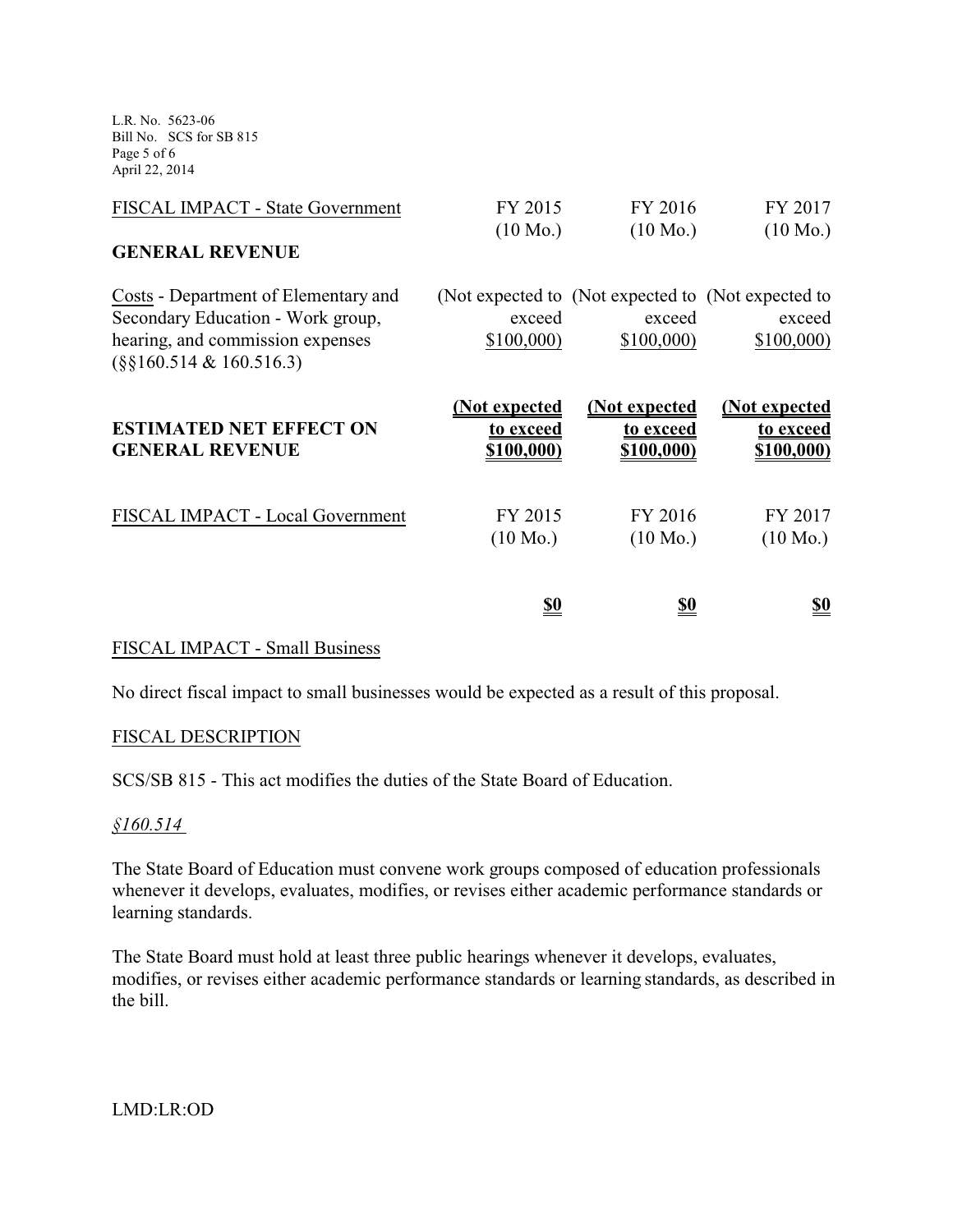L.R. No. 5623-06 Bill No. SCS for SB 815 Page 5 of 6 April 22, 2014

| FISCAL IMPACT - State Government                                                                                                              | FY 2015<br>$(10 \text{ Mo.})$                   | FY 2016<br>$(10 \text{ Mo.})$                                              | FY 2017<br>$(10 \text{ Mo.})$            |
|-----------------------------------------------------------------------------------------------------------------------------------------------|-------------------------------------------------|----------------------------------------------------------------------------|------------------------------------------|
| <b>GENERAL REVENUE</b>                                                                                                                        |                                                 |                                                                            |                                          |
| Costs - Department of Elementary and<br>Secondary Education - Work group,<br>hearing, and commission expenses<br>$(\S\S160.514 \& 160.516.3)$ | exceed<br>\$100,000                             | (Not expected to (Not expected to (Not expected to)<br>exceed<br>\$100,000 | exceed<br>\$100,000                      |
| <b>ESTIMATED NET EFFECT ON</b><br><b>GENERAL REVENUE</b>                                                                                      | <u>(Not expected</u><br>to exceed<br>\$100,000) | <u>(Not expected</u><br>to exceed<br>\$100,000)                            | (Not expected<br>to exceed<br>\$100,000) |
| FISCAL IMPACT - Local Government                                                                                                              | FY 2015<br>$(10 \text{ Mo.})$                   | FY 2016<br>$(10 \text{ Mo.})$                                              | FY 2017<br>$(10 \text{ Mo.})$            |
|                                                                                                                                               | <u>\$0</u>                                      | <u>\$0</u>                                                                 | <u>\$0</u>                               |

### FISCAL IMPACT - Small Business

No direct fiscal impact to small businesses would be expected as a result of this proposal.

### FISCAL DESCRIPTION

SCS/SB 815 - This act modifies the duties of the State Board of Education.

#### *§160.514*

The State Board of Education must convene work groups composed of education professionals whenever it develops, evaluates, modifies, or revises either academic performance standards or learning standards.

The State Board must hold at least three public hearings whenever it develops, evaluates, modifies, or revises either academic performance standards or learning standards, as described in the bill.